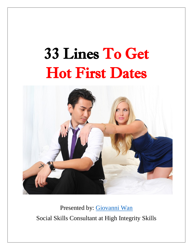# 33 Lines To Get Hot First Dates



Presented by: [Giovanni Wan](https://highintegrityskills.com/coaches/giovanni-wan/) Social Skills Consultant at High Integrity Skills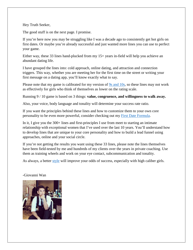# Hey Truth Seeker,

The good stuff is on the next page. I promise.

If you're here now you may be struggling like I was a decade ago to consistently get hot girls on first dates. Or maybe you're already successful and just wanted more lines you can use to perfect your game.

Either way, these 33 lines hand-plucked from my 15+ years in-field will help you achieve an abundant dating life.

I have grouped the lines into: cold approach, online dating, and attraction and connection triggers. This way, whether you are meeting her for the first time on the street or writing your first message on a dating app, you'll know exactly what to say.

Please note that my game is calibrated for my version of [9s and 10s,](https://highintegrityskills.com/wp-content/uploads/2020/11/next-level-girls.jpg) so these lines may not work as effectively for girls who think of themselves as lower on the rating scale.

Running 9 / 10 game is based on 3 things: **value, congruence, and willingness to walk away.**

Also, your voice, body language and tonality will determine your success rate ratio.

If you want the principles behind these lines and how to customize them to your own core personality to be even more powerful, consider checking out my [First Date Formula.](https://highintegrityskills.com/firstdate)

In it, I give you the 300+ lines and first-principles I use from meet to starting an intimate relationship with exceptional women that I've used over the last 10 years. You'll understand how to develop lines that are unique to your core personality and how to build a lead funnel using approaches, online and your social circle.

If you're not getting the results you want using these 33 lines, please note the lines themselves have been field-tested by me and hundreds of my clients over the years in private coaching. Use them as training wheels and work on your eye contact, subcommunication and tonality.

As always, a better [style](https://highintegrityskills.com/style3) will improve your odds of success, especially with high caliber girls.

## -Giovanni Wan

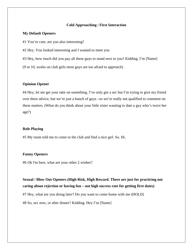## **Cold Approaching / First Interaction**

#### **My Default Openers**

#1 You're cute, are you also interesting?

#2 Hey. You looked interesting and I wanted to meet you

#3 Hey, how much did you pay all these guys to stand next to you? Kidding. I'm [Name]

(9 or 10, works on club girls most guys are too afraid to approach)

# **Opinion Opener**

#4 Hey, let me get your take on something. I've only got a sec but I'm trying to give my friend over there advice, but we're just a bunch of guys –so we're really not qualified to comment on these matters. (What do you think about your little sister wanting to date a guy who's twice her age?)

#### **Role Playing**

#5 My mom told me to come to the club and find a nice girl. So. Hi.

#### **Funny Openers**

#6 Ok I'm here, what are your other 2 wishes?

**Sexual / Blow Out Openers (High Risk, High Reward. There are just for practicing not caring about rejection or having fun – not high success rate for getting first dates)**

#7 Hey, what are you doing later? Do you want to come home with me (HOLD)

#8 So, sex now, or after dinner? Kidding. Hey I'm [Name]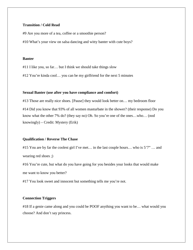# **Transition / Cold Read**

#9 Are you more of a tea, coffee or a smoothie person?

#10 What's your view on salsa dancing and witty banter with cute boys?

#### **Banter**

#11 I like you, so far… but I think we should take things slow

#12 You're kinda cool… you can be my girlfriend for the next 5 minutes

#### **Sexual Banter (use after you have compliance and comfort)**

#13 Those are really nice shoes. [Pause] they would look better on… my bedroom floor #14 Did you know that 93% of all women masturbate in the shower? (their response) Do you know what the other 7% do? (they say no) Oh. So you're one of the ones…who… (nod knowingly) – Credit: Mystery (Erik)

## **Qualification / Reverse The Chase**

#15 You are by far the coolest girl I've met... in the last couple hours... who is 5'7" ... and wearing red shoes ;)

#16 You're cute, but what do you have going for you besides your looks that would make me want to know you better?

#17 You look sweet and innocent but something tells me you're not.

# **Connection Triggers**

#18 If a genie came along and you could be POOF anything you want to be... what would you choose? And don't say princess.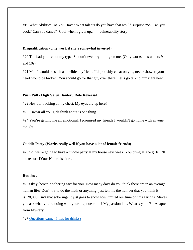#19 What Abilities Do You Have? What talents do you have that would surprise me? Can you cook? Can you dance? [Cool when I grew up…. – vulnerability story]

## **Disqualification (only work if she's somewhat invested)**

#20 Too bad you're not my type. So don't even try hitting on me. (Only works on stunners 9s and 10s)

#21 Man I would be such a horrible boyfriend. I'd probably cheat on you, never shower, your heart would be broken. You should go for that guy over there. Let's go talk to him right now.

#### **Push Pull / High Value Banter / Role Reversal**

#22 Hey quit looking at my chest. My eyes are up here!

#23 I swear all you girls think about is one thing…

#24 You're getting me all emotional. I promised my friends I wouldn't go home with anyone tonight.

## **Cuddle Party (Works really well if you have a lot of female friends)**

#25 So, we're going to have a cuddle party at my house next week. You bring all the girls; I'll make sure [Your Name] is there.

# **Routines**

#26 Okay, here's a sobering fact for you. How many days do you think there are in an average human life? Don't try to do the math or anything, just tell me the number that you think it is. 28,000. Isn't that sobering? It just goes to show how limited our time on this earth is. Makes you ask what you're doing with your life, doesn't it? My passion is… What's yours? – Adapted from Mystery

#27 [Questions game \(5 lies for drinks\)](https://www.youtube.com/watch?v=KzVu_lSvRTI&t=9s)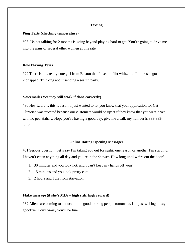## **Texting**

#### **Ping Texts (checking temperature)**

#28: Us not talking for 2 months is going beyond playing hard to get. You're going to drive me into the arms of several other women at this rate.

#### **Role Playing Texts**

#29 There is this really cute girl from Boston that I used to flirt with...but I think she got kidnapped. Thinking about sending a search party.

## **Voicemails (Yes they still work if done correctly)**

#30 Hey Laura… this is Jason. I just wanted to let you know that your application for Cat Clinician was rejected because our customers would be upset if they knew that you were a vet with no pet. Haha... Hope you're having a good day, give me a call, my number is 333-333-3333.

#### **Online Dating Opening Messages**

#31 Serious question: let's say I'm taking you out for sushi: one reason or another I'm starving, I haven't eaten anything all day and you're in the shower. How long until we're out the door?

- 1. 30 minutes and you look hot, and I can't keep my hands off you?
- 2. 15 minutes and you look pretty cute
- 3. 2 hours and I die from starvation

#### **Flake message (if she's MIA – high risk, high reward)**

#32 Aliens are coming to abduct all the good looking people tomorrow. I'm just writing to say goodbye. Don't worry you'll be fine.